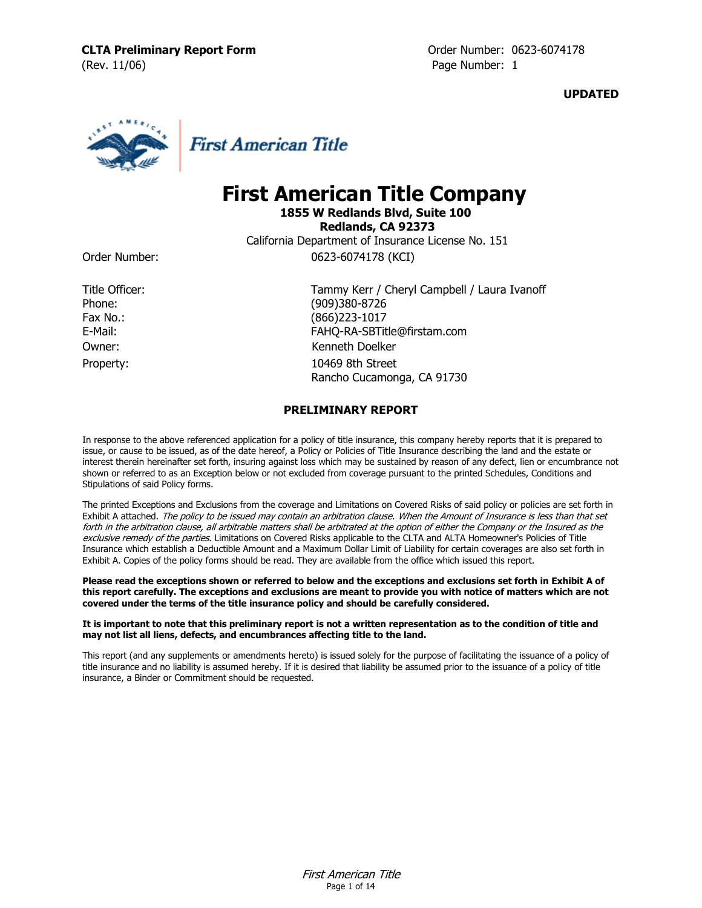**UPDATED**



**First American Title** 

# **First American Title Company**

**1855 W Redlands Blvd, Suite 100 Redlands, CA 92373** California Department of Insurance License No. 151

Order Number: 0623-6074178 (KCI)

Property: 10469 8th Street

Title Officer: Tammy Kerr / Cheryl Campbell / Laura Ivanoff Phone: (909)380-8726 Fax No.: (866)223-1017 E-Mail: FAHQ-RA-SBTitle@firstam.com Owner: Kenneth Doelker

Rancho Cucamonga, CA 91730

# **PRELIMINARY REPORT**

In response to the above referenced application for a policy of title insurance, this company hereby reports that it is prepared to issue, or cause to be issued, as of the date hereof, a Policy or Policies of Title Insurance describing the land and the estate or interest therein hereinafter set forth, insuring against loss which may be sustained by reason of any defect, lien or encumbrance not shown or referred to as an Exception below or not excluded from coverage pursuant to the printed Schedules, Conditions and Stipulations of said Policy forms.

The printed Exceptions and Exclusions from the coverage and Limitations on Covered Risks of said policy or policies are set forth in Exhibit A attached. The policy to be issued may contain an arbitration clause. When the Amount of Insurance is less than that set forth in the arbitration clause, all arbitrable matters shall be arbitrated at the option of either the Company or the Insured as the exclusive remedy of the parties. Limitations on Covered Risks applicable to the CLTA and ALTA Homeowner's Policies of Title Insurance which establish a Deductible Amount and a Maximum Dollar Limit of Liability for certain coverages are also set forth in Exhibit A. Copies of the policy forms should be read. They are available from the office which issued this report.

**Please read the exceptions shown or referred to below and the exceptions and exclusions set forth in Exhibit A of this report carefully. The exceptions and exclusions are meant to provide you with notice of matters which are not covered under the terms of the title insurance policy and should be carefully considered.**

### **It is important to note that this preliminary report is not a written representation as to the condition of title and may not list all liens, defects, and encumbrances affecting title to the land.**

This report (and any supplements or amendments hereto) is issued solely for the purpose of facilitating the issuance of a policy of title insurance and no liability is assumed hereby. If it is desired that liability be assumed prior to the issuance of a policy of title insurance, a Binder or Commitment should be requested.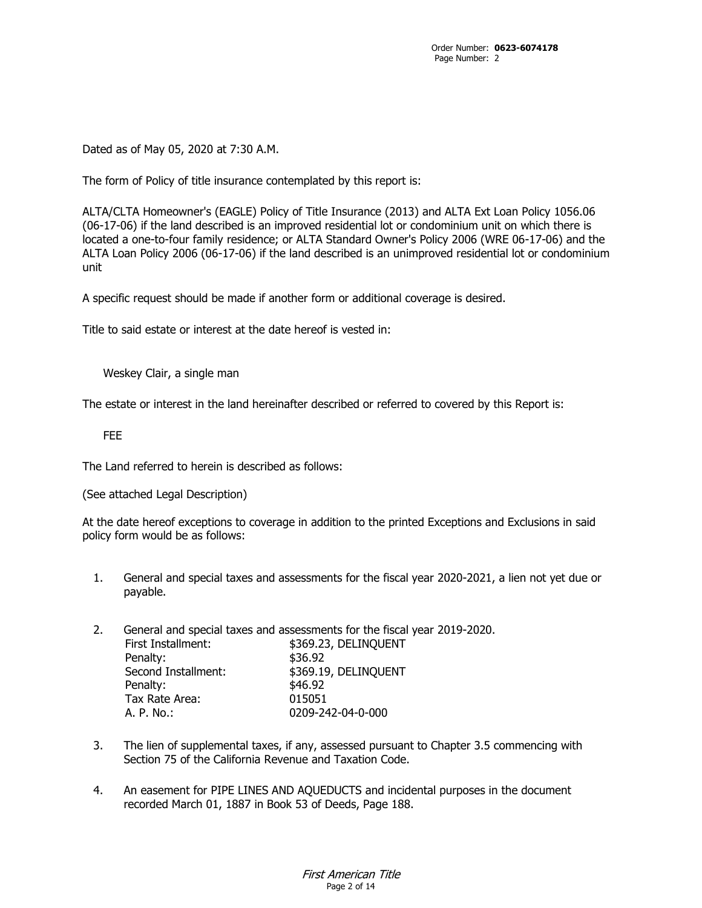Dated as of May 05, 2020 at 7:30 A.M.

The form of Policy of title insurance contemplated by this report is:

ALTA/CLTA Homeowner's (EAGLE) Policy of Title Insurance (2013) and ALTA Ext Loan Policy 1056.06 (06-17-06) if the land described is an improved residential lot or condominium unit on which there is located a one-to-four family residence; or ALTA Standard Owner's Policy 2006 (WRE 06-17-06) and the ALTA Loan Policy 2006 (06-17-06) if the land described is an unimproved residential lot or condominium unit

A specific request should be made if another form or additional coverage is desired.

Title to said estate or interest at the date hereof is vested in:

Weskey Clair, a single man

The estate or interest in the land hereinafter described or referred to covered by this Report is:

FEE

The Land referred to herein is described as follows:

(See attached Legal Description)

At the date hereof exceptions to coverage in addition to the printed Exceptions and Exclusions in said policy form would be as follows:

- 1. General and special taxes and assessments for the fiscal year 2020-2021, a lien not yet due or payable.
- 2. General and special taxes and assessments for the fiscal year 2019-2020. First Installment: \$369.23, DELINQUENT Penalty: \$36.92 Second Installment: \$369.19, DELINQUENT Penalty:  $$46.92$ Tax Rate Area: 015051 A. P. No.: 0209-242-04-0-000
- 3. The lien of supplemental taxes, if any, assessed pursuant to Chapter 3.5 commencing with Section 75 of the California Revenue and Taxation Code.
- 4. An easement for PIPE LINES AND AQUEDUCTS and incidental purposes in the document recorded March 01, 1887 in Book 53 of Deeds, Page 188.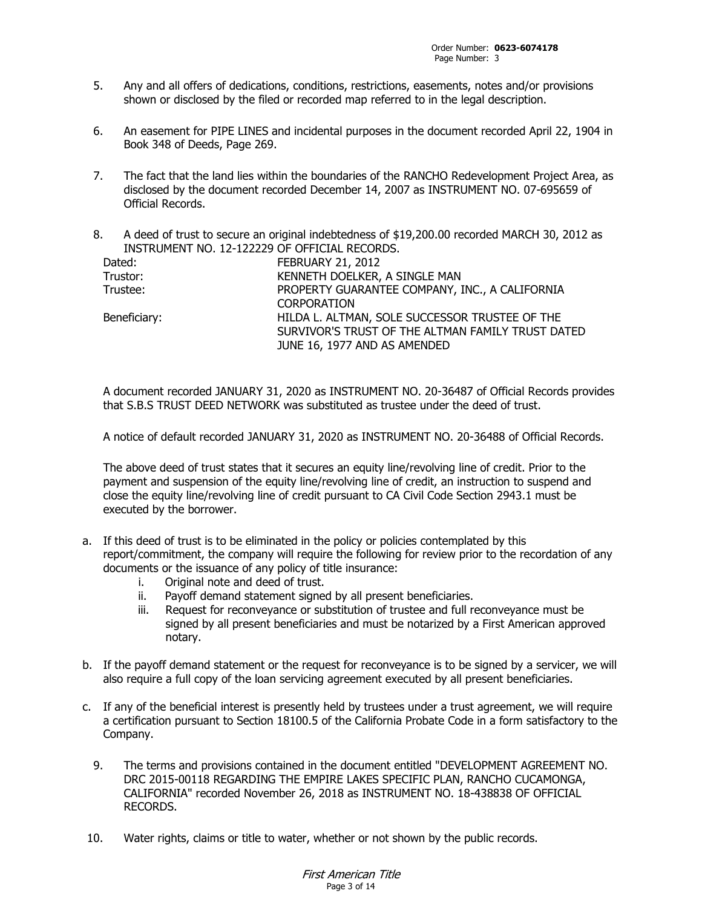- 5. Any and all offers of dedications, conditions, restrictions, easements, notes and/or provisions shown or disclosed by the filed or recorded map referred to in the legal description.
- 6. An easement for PIPE LINES and incidental purposes in the document recorded April 22, 1904 in Book 348 of Deeds, Page 269.
- 7. The fact that the land lies within the boundaries of the RANCHO Redevelopment Project Area, as disclosed by the document recorded December 14, 2007 as INSTRUMENT NO. 07-695659 of Official Records.
- 8. A deed of trust to secure an original indebtedness of \$19,200.00 recorded MARCH 30, 2012 as INSTRUMENT NO. 12-122229 OF OFFICIAL RECORDS.

| Dated:       | <b>FEBRUARY 21, 2012</b>                          |  |
|--------------|---------------------------------------------------|--|
| Trustor:     | KENNETH DOELKER, A SINGLE MAN                     |  |
| Trustee:     | PROPERTY GUARANTEE COMPANY, INC., A CALIFORNIA    |  |
|              | <b>CORPORATION</b>                                |  |
| Beneficiary: | HILDA L. ALTMAN, SOLE SUCCESSOR TRUSTEE OF THE    |  |
|              | SURVIVOR'S TRUST OF THE ALTMAN FAMILY TRUST DATED |  |
|              | JUNE 16, 1977 AND AS AMENDED                      |  |

A document recorded JANUARY 31, 2020 as INSTRUMENT NO. 20-36487 of Official Records provides that S.B.S TRUST DEED NETWORK was substituted as trustee under the deed of trust.

A notice of default recorded JANUARY 31, 2020 as INSTRUMENT NO. 20-36488 of Official Records.

The above deed of trust states that it secures an equity line/revolving line of credit. Prior to the payment and suspension of the equity line/revolving line of credit, an instruction to suspend and close the equity line/revolving line of credit pursuant to CA Civil Code Section 2943.1 must be executed by the borrower.

- a. If this deed of trust is to be eliminated in the policy or policies contemplated by this report/commitment, the company will require the following for review prior to the recordation of any documents or the issuance of any policy of title insurance:
	- i. Original note and deed of trust.
	- ii. Payoff demand statement signed by all present beneficiaries.
	- iii. Request for reconveyance or substitution of trustee and full reconveyance must be signed by all present beneficiaries and must be notarized by a First American approved notary.
- b. If the payoff demand statement or the request for reconveyance is to be signed by a servicer, we will also require a full copy of the loan servicing agreement executed by all present beneficiaries.
- c. If any of the beneficial interest is presently held by trustees under a trust agreement, we will require a certification pursuant to Section 18100.5 of the California Probate Code in a form satisfactory to the Company.
	- 9. The terms and provisions contained in the document entitled "DEVELOPMENT AGREEMENT NO. DRC 2015-00118 REGARDING THE EMPIRE LAKES SPECIFIC PLAN, RANCHO CUCAMONGA, CALIFORNIA" recorded November 26, 2018 as INSTRUMENT NO. 18-438838 OF OFFICIAL RECORDS.
- 10. Water rights, claims or title to water, whether or not shown by the public records.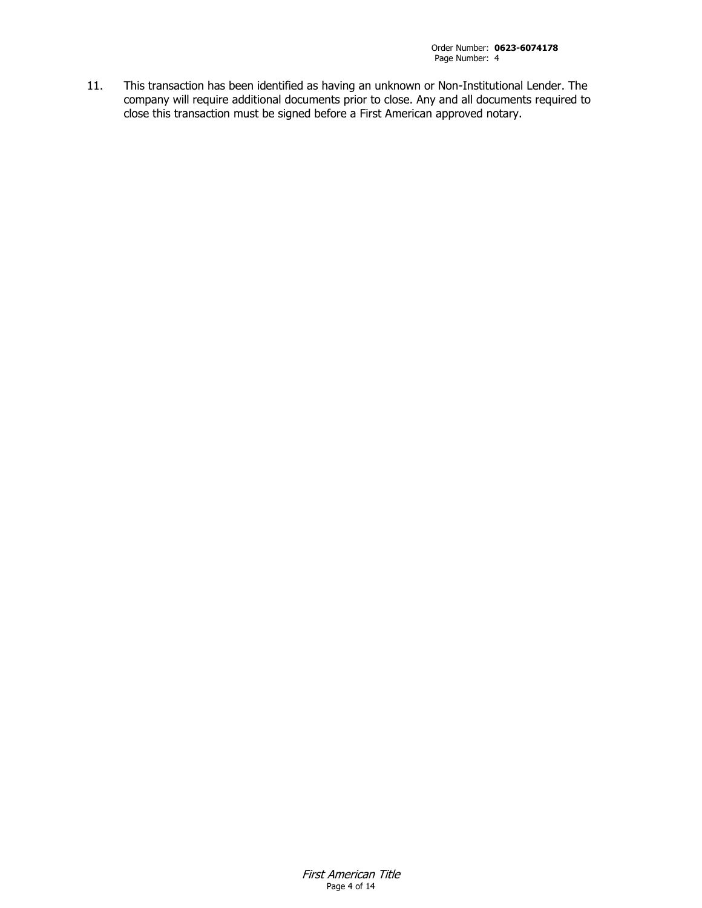11. This transaction has been identified as having an unknown or Non-Institutional Lender. The company will require additional documents prior to close. Any and all documents required to close this transaction must be signed before a First American approved notary.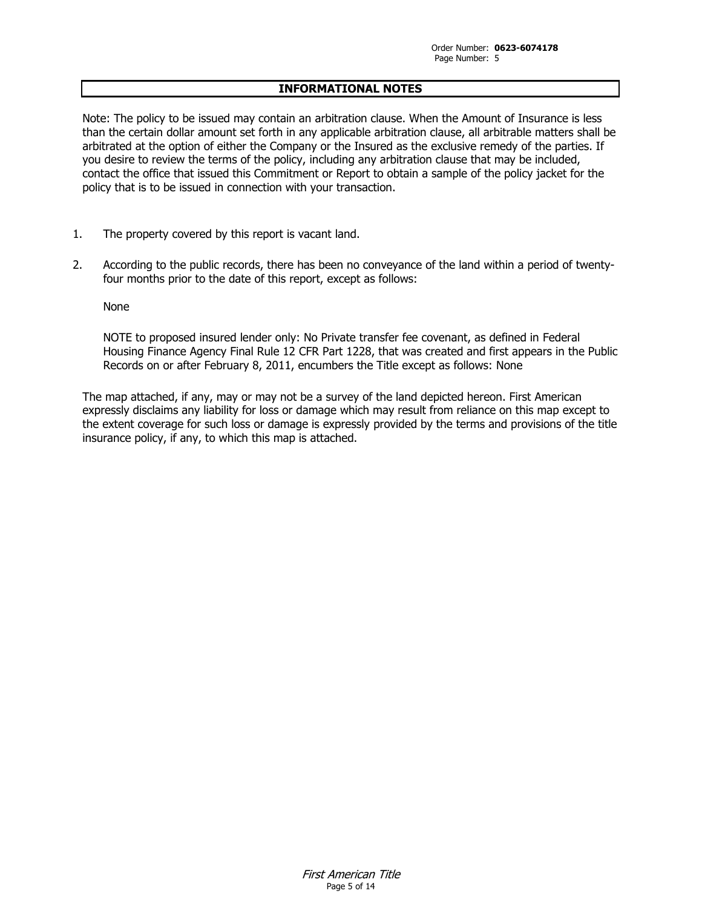## **INFORMATIONAL NOTES**

Note: The policy to be issued may contain an arbitration clause. When the Amount of Insurance is less than the certain dollar amount set forth in any applicable arbitration clause, all arbitrable matters shall be arbitrated at the option of either the Company or the Insured as the exclusive remedy of the parties. If you desire to review the terms of the policy, including any arbitration clause that may be included, contact the office that issued this Commitment or Report to obtain a sample of the policy jacket for the policy that is to be issued in connection with your transaction.

- 1. The property covered by this report is vacant land.
- 2. According to the public records, there has been no conveyance of the land within a period of twentyfour months prior to the date of this report, except as follows:

None

NOTE to proposed insured lender only: No Private transfer fee covenant, as defined in Federal Housing Finance Agency Final Rule 12 CFR Part 1228, that was created and first appears in the Public Records on or after February 8, 2011, encumbers the Title except as follows: None

The map attached, if any, may or may not be a survey of the land depicted hereon. First American expressly disclaims any liability for loss or damage which may result from reliance on this map except to the extent coverage for such loss or damage is expressly provided by the terms and provisions of the title insurance policy, if any, to which this map is attached.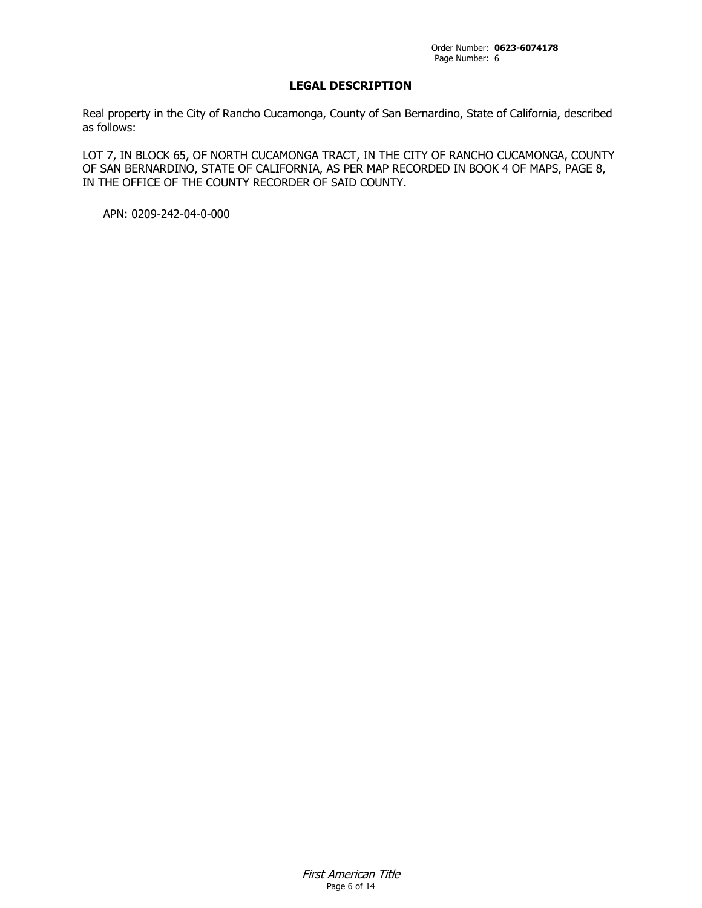# **LEGAL DESCRIPTION**

Real property in the City of Rancho Cucamonga, County of San Bernardino, State of California, described as follows:

LOT 7, IN BLOCK 65, OF NORTH CUCAMONGA TRACT, IN THE CITY OF RANCHO CUCAMONGA, COUNTY OF SAN BERNARDINO, STATE OF CALIFORNIA, AS PER MAP RECORDED IN BOOK 4 OF MAPS, PAGE 8, IN THE OFFICE OF THE COUNTY RECORDER OF SAID COUNTY.

APN: 0209-242-04-0-000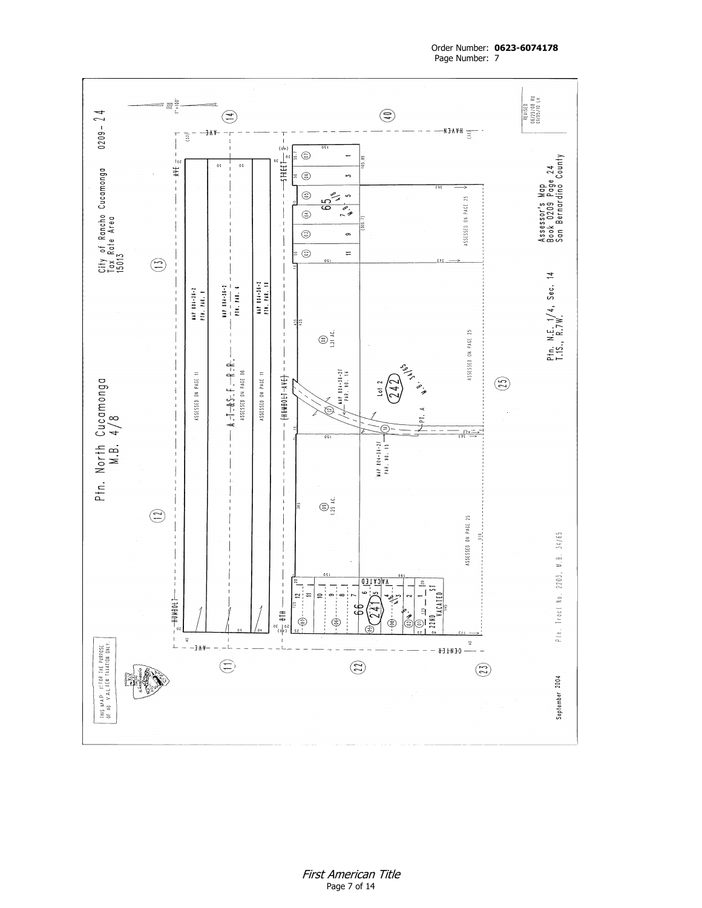

Order Number: **0623-6074178** Page Number: 7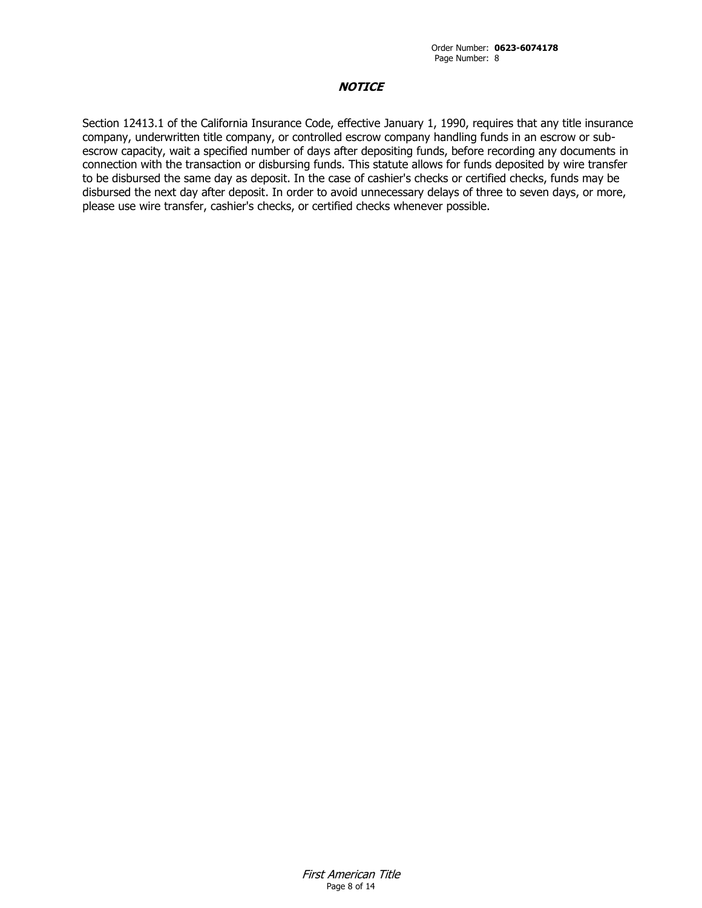# **NOTICE**

Section 12413.1 of the California Insurance Code, effective January 1, 1990, requires that any title insurance company, underwritten title company, or controlled escrow company handling funds in an escrow or subescrow capacity, wait a specified number of days after depositing funds, before recording any documents in connection with the transaction or disbursing funds. This statute allows for funds deposited by wire transfer to be disbursed the same day as deposit. In the case of cashier's checks or certified checks, funds may be disbursed the next day after deposit. In order to avoid unnecessary delays of three to seven days, or more, please use wire transfer, cashier's checks, or certified checks whenever possible.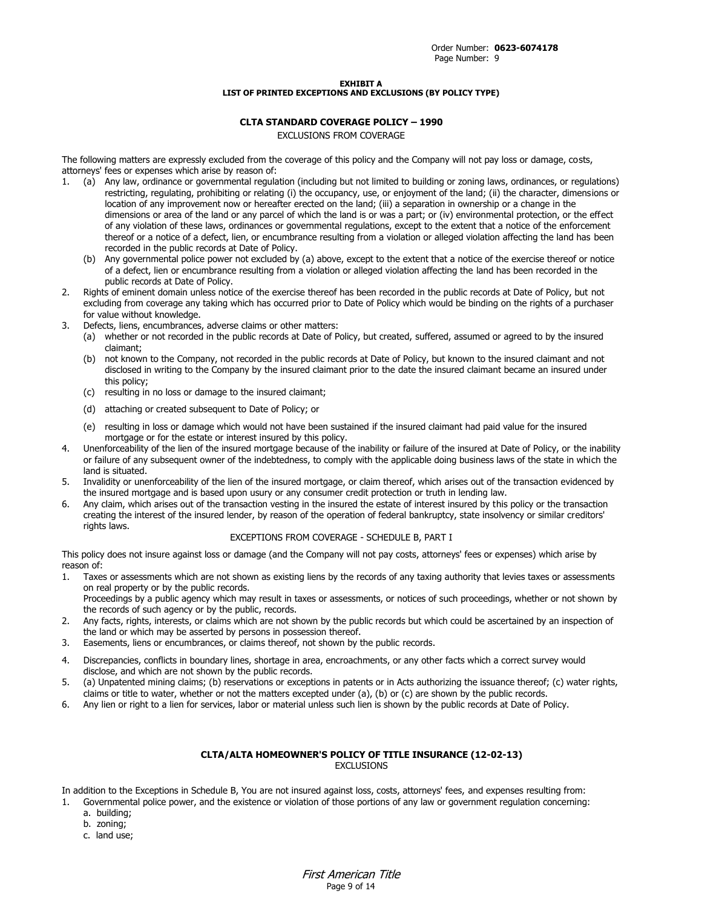#### **EXHIBIT A LIST OF PRINTED EXCEPTIONS AND EXCLUSIONS (BY POLICY TYPE)**

### **CLTA STANDARD COVERAGE POLICY – 1990**

EXCLUSIONS FROM COVERAGE

The following matters are expressly excluded from the coverage of this policy and the Company will not pay loss or damage, costs, attorneys' fees or expenses which arise by reason of:

- 1. (a) Any law, ordinance or governmental regulation (including but not limited to building or zoning laws, ordinances, or regulations) restricting, regulating, prohibiting or relating (i) the occupancy, use, or enjoyment of the land; (ii) the character, dimensions or location of any improvement now or hereafter erected on the land; (iii) a separation in ownership or a change in the dimensions or area of the land or any parcel of which the land is or was a part; or (iv) environmental protection, or the effect of any violation of these laws, ordinances or governmental regulations, except to the extent that a notice of the enforcement thereof or a notice of a defect, lien, or encumbrance resulting from a violation or alleged violation affecting the land has been recorded in the public records at Date of Policy.
	- (b) Any governmental police power not excluded by (a) above, except to the extent that a notice of the exercise thereof or notice of a defect, lien or encumbrance resulting from a violation or alleged violation affecting the land has been recorded in the public records at Date of Policy.
- 2. Rights of eminent domain unless notice of the exercise thereof has been recorded in the public records at Date of Policy, but not excluding from coverage any taking which has occurred prior to Date of Policy which would be binding on the rights of a purchaser for value without knowledge.
- 3. Defects, liens, encumbrances, adverse claims or other matters:
	- (a) whether or not recorded in the public records at Date of Policy, but created, suffered, assumed or agreed to by the insured claimant;
	- (b) not known to the Company, not recorded in the public records at Date of Policy, but known to the insured claimant and not disclosed in writing to the Company by the insured claimant prior to the date the insured claimant became an insured under this policy;
	- (c) resulting in no loss or damage to the insured claimant;
	- (d) attaching or created subsequent to Date of Policy; or
	- (e) resulting in loss or damage which would not have been sustained if the insured claimant had paid value for the insured mortgage or for the estate or interest insured by this policy.
- 4. Unenforceability of the lien of the insured mortgage because of the inability or failure of the insured at Date of Policy, or the inability or failure of any subsequent owner of the indebtedness, to comply with the applicable doing business laws of the state in which the land is situated.
- 5. Invalidity or unenforceability of the lien of the insured mortgage, or claim thereof, which arises out of the transaction evidenced by the insured mortgage and is based upon usury or any consumer credit protection or truth in lending law.
- 6. Any claim, which arises out of the transaction vesting in the insured the estate of interest insured by this policy or the transaction creating the interest of the insured lender, by reason of the operation of federal bankruptcy, state insolvency or similar creditors' rights laws.

### EXCEPTIONS FROM COVERAGE - SCHEDULE B, PART I

This policy does not insure against loss or damage (and the Company will not pay costs, attorneys' fees or expenses) which arise by reason of:

1. Taxes or assessments which are not shown as existing liens by the records of any taxing authority that levies taxes or assessments on real property or by the public records.

Proceedings by a public agency which may result in taxes or assessments, or notices of such proceedings, whether or not shown by the records of such agency or by the public, records.

- 2. Any facts, rights, interests, or claims which are not shown by the public records but which could be ascertained by an inspection of the land or which may be asserted by persons in possession thereof.
- 3. Easements, liens or encumbrances, or claims thereof, not shown by the public records.
- 4. Discrepancies, conflicts in boundary lines, shortage in area, encroachments, or any other facts which a correct survey would disclose, and which are not shown by the public records.
- 5. (a) Unpatented mining claims; (b) reservations or exceptions in patents or in Acts authorizing the issuance thereof; (c) water rights, claims or title to water, whether or not the matters excepted under (a), (b) or (c) are shown by the public records.
- 6. Any lien or right to a lien for services, labor or material unless such lien is shown by the public records at Date of Policy.

### **CLTA/ALTA HOMEOWNER'S POLICY OF TITLE INSURANCE (12-02-13)** EXCLUSIONS

In addition to the Exceptions in Schedule B, You are not insured against loss, costs, attorneys' fees, and expenses resulting from:

- 1. Governmental police power, and the existence or violation of those portions of any law or government regulation concerning:
	- a. building;
	- b. zoning;
	- c. land use;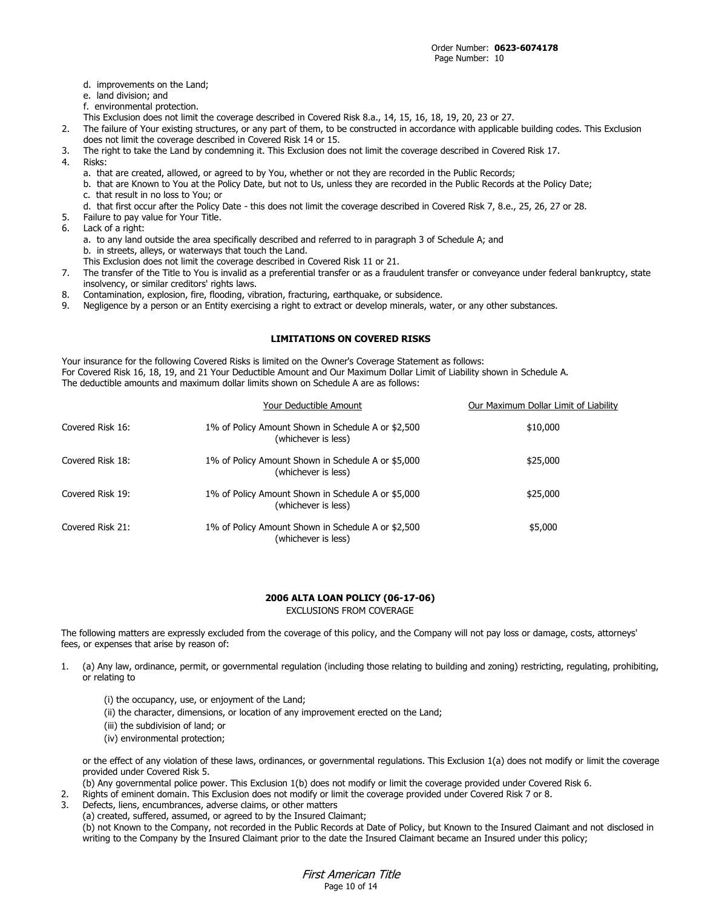- d. improvements on the Land;
- e. land division; and
- f. environmental protection.
- This Exclusion does not limit the coverage described in Covered Risk 8.a., 14, 15, 16, 18, 19, 20, 23 or 27.
- 2. The failure of Your existing structures, or any part of them, to be constructed in accordance with applicable building codes. This Exclusion does not limit the coverage described in Covered Risk 14 or 15.
- 3. The right to take the Land by condemning it. This Exclusion does not limit the coverage described in Covered Risk 17.
- 4. Risks:
	- a. that are created, allowed, or agreed to by You, whether or not they are recorded in the Public Records;
	- b. that are Known to You at the Policy Date, but not to Us, unless they are recorded in the Public Records at the Policy Date; c. that result in no loss to You; or
	- d. that first occur after the Policy Date this does not limit the coverage described in Covered Risk 7, 8.e., 25, 26, 27 or 28.
- 5. Failure to pay value for Your Title.
- 6. Lack of a right:
	- a. to any land outside the area specifically described and referred to in paragraph 3 of Schedule A; and b. in streets, alleys, or waterways that touch the Land.
	- This Exclusion does not limit the coverage described in Covered Risk 11 or 21.
- 7. The transfer of the Title to You is invalid as a preferential transfer or as a fraudulent transfer or conveyance under federal bankruptcy, state insolvency, or similar creditors' rights laws.
- 8. Contamination, explosion, fire, flooding, vibration, fracturing, earthquake, or subsidence.
- 9. Negligence by a person or an Entity exercising a right to extract or develop minerals, water, or any other substances.

### **LIMITATIONS ON COVERED RISKS**

Your insurance for the following Covered Risks is limited on the Owner's Coverage Statement as follows: For Covered Risk 16, 18, 19, and 21 Your Deductible Amount and Our Maximum Dollar Limit of Liability shown in Schedule A. The deductible amounts and maximum dollar limits shown on Schedule A are as follows:

|                  | Your Deductible Amount                                                    | Our Maximum Dollar Limit of Liability |
|------------------|---------------------------------------------------------------------------|---------------------------------------|
| Covered Risk 16: | 1% of Policy Amount Shown in Schedule A or \$2,500<br>(whichever is less) | \$10,000                              |
| Covered Risk 18: | 1% of Policy Amount Shown in Schedule A or \$5,000<br>(whichever is less) | \$25,000                              |
| Covered Risk 19: | 1% of Policy Amount Shown in Schedule A or \$5,000<br>(whichever is less) | \$25,000                              |
| Covered Risk 21: | 1% of Policy Amount Shown in Schedule A or \$2,500<br>(whichever is less) | \$5,000                               |

### **2006 ALTA LOAN POLICY (06-17-06)** EXCLUSIONS FROM COVERAGE

The following matters are expressly excluded from the coverage of this policy, and the Company will not pay loss or damage, costs, attorneys' fees, or expenses that arise by reason of:

- 1. (a) Any law, ordinance, permit, or governmental regulation (including those relating to building and zoning) restricting, regulating, prohibiting, or relating to
	- (i) the occupancy, use, or enjoyment of the Land;
	- (ii) the character, dimensions, or location of any improvement erected on the Land;
	- (iii) the subdivision of land; or
	- (iv) environmental protection;

or the effect of any violation of these laws, ordinances, or governmental regulations. This Exclusion 1(a) does not modify or limit the coverage provided under Covered Risk 5.

(b) Any governmental police power. This Exclusion 1(b) does not modify or limit the coverage provided under Covered Risk 6.

- 2. Rights of eminent domain. This Exclusion does not modify or limit the coverage provided under Covered Risk 7 or 8.
- Defects, liens, encumbrances, adverse claims, or other matters
- (a) created, suffered, assumed, or agreed to by the Insured Claimant;

(b) not Known to the Company, not recorded in the Public Records at Date of Policy, but Known to the Insured Claimant and not disclosed in writing to the Company by the Insured Claimant prior to the date the Insured Claimant became an Insured under this policy;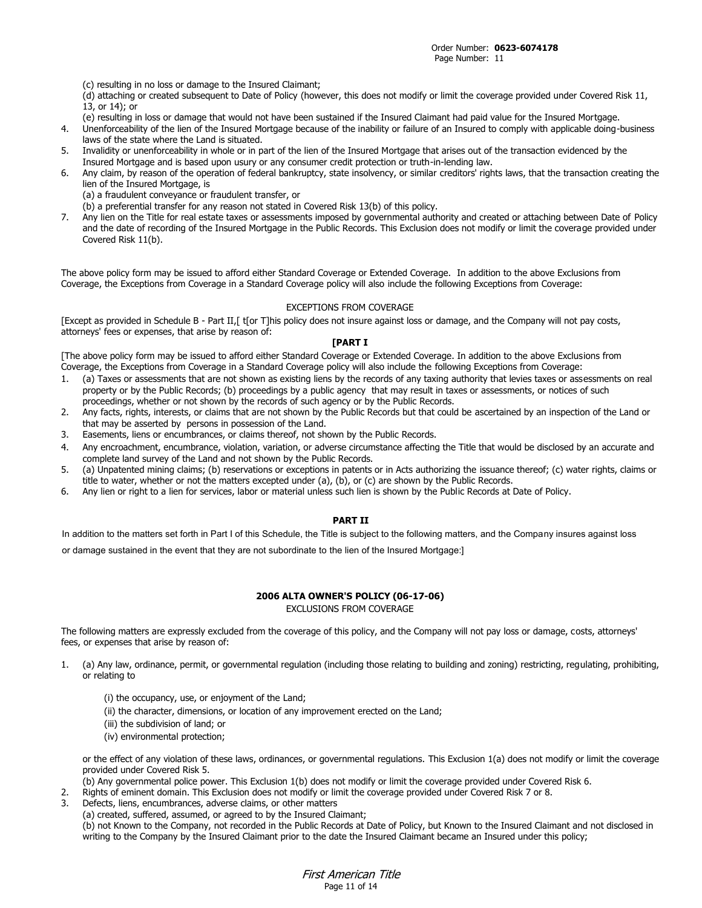(c) resulting in no loss or damage to the Insured Claimant;

(d) attaching or created subsequent to Date of Policy (however, this does not modify or limit the coverage provided under Covered Risk 11, 13, or 14); or

- (e) resulting in loss or damage that would not have been sustained if the Insured Claimant had paid value for the Insured Mortgage.
- 4. Unenforceability of the lien of the Insured Mortgage because of the inability or failure of an Insured to comply with applicable doing-business laws of the state where the Land is situated.
- 5. Invalidity or unenforceability in whole or in part of the lien of the Insured Mortgage that arises out of the transaction evidenced by the Insured Mortgage and is based upon usury or any consumer credit protection or truth-in-lending law.
- 6. Any claim, by reason of the operation of federal bankruptcy, state insolvency, or similar creditors' rights laws, that the transaction creating the lien of the Insured Mortgage, is
	- (a) a fraudulent conveyance or fraudulent transfer, or
	- (b) a preferential transfer for any reason not stated in Covered Risk 13(b) of this policy.
- 7. Any lien on the Title for real estate taxes or assessments imposed by governmental authority and created or attaching between Date of Policy and the date of recording of the Insured Mortgage in the Public Records. This Exclusion does not modify or limit the coverage provided under Covered Risk 11(b).

The above policy form may be issued to afford either Standard Coverage or Extended Coverage. In addition to the above Exclusions from Coverage, the Exceptions from Coverage in a Standard Coverage policy will also include the following Exceptions from Coverage:

### EXCEPTIONS FROM COVERAGE

[Except as provided in Schedule B - Part II,[ t[or T]his policy does not insure against loss or damage, and the Company will not pay costs, attorneys' fees or expenses, that arise by reason of:

#### **[PART I**

[The above policy form may be issued to afford either Standard Coverage or Extended Coverage. In addition to the above Exclusions from Coverage, the Exceptions from Coverage in a Standard Coverage policy will also include the following Exceptions from Coverage:

- 1. (a) Taxes or assessments that are not shown as existing liens by the records of any taxing authority that levies taxes or assessments on real property or by the Public Records; (b) proceedings by a public agency that may result in taxes or assessments, or notices of such proceedings, whether or not shown by the records of such agency or by the Public Records.
- 2. Any facts, rights, interests, or claims that are not shown by the Public Records but that could be ascertained by an inspection of the Land or that may be asserted by persons in possession of the Land.
- 3. Easements, liens or encumbrances, or claims thereof, not shown by the Public Records.
- 4. Any encroachment, encumbrance, violation, variation, or adverse circumstance affecting the Title that would be disclosed by an accurate and complete land survey of the Land and not shown by the Public Records.
- 5. (a) Unpatented mining claims; (b) reservations or exceptions in patents or in Acts authorizing the issuance thereof; (c) water rights, claims or title to water, whether or not the matters excepted under (a), (b), or (c) are shown by the Public Records.
- 6. Any lien or right to a lien for services, labor or material unless such lien is shown by the Public Records at Date of Policy.

### **PART II**

In addition to the matters set forth in Part I of this Schedule, the Title is subject to the following matters, and the Company insures against loss

or damage sustained in the event that they are not subordinate to the lien of the Insured Mortgage:]

### **2006 ALTA OWNER'S POLICY (06-17-06)**

EXCLUSIONS FROM COVERAGE

The following matters are expressly excluded from the coverage of this policy, and the Company will not pay loss or damage, costs, attorneys' fees, or expenses that arise by reason of:

- 1. (a) Any law, ordinance, permit, or governmental regulation (including those relating to building and zoning) restricting, regulating, prohibiting, or relating to
	- (i) the occupancy, use, or enjoyment of the Land;
	- (ii) the character, dimensions, or location of any improvement erected on the Land;
	- (iii) the subdivision of land; or
	- (iv) environmental protection;

or the effect of any violation of these laws, ordinances, or governmental regulations. This Exclusion 1(a) does not modify or limit the coverage provided under Covered Risk 5.

(b) Any governmental police power. This Exclusion 1(b) does not modify or limit the coverage provided under Covered Risk 6.

- 2. Rights of eminent domain. This Exclusion does not modify or limit the coverage provided under Covered Risk 7 or 8.
- Defects, liens, encumbrances, adverse claims, or other matters
- (a) created, suffered, assumed, or agreed to by the Insured Claimant;

(b) not Known to the Company, not recorded in the Public Records at Date of Policy, but Known to the Insured Claimant and not disclosed in writing to the Company by the Insured Claimant prior to the date the Insured Claimant became an Insured under this policy;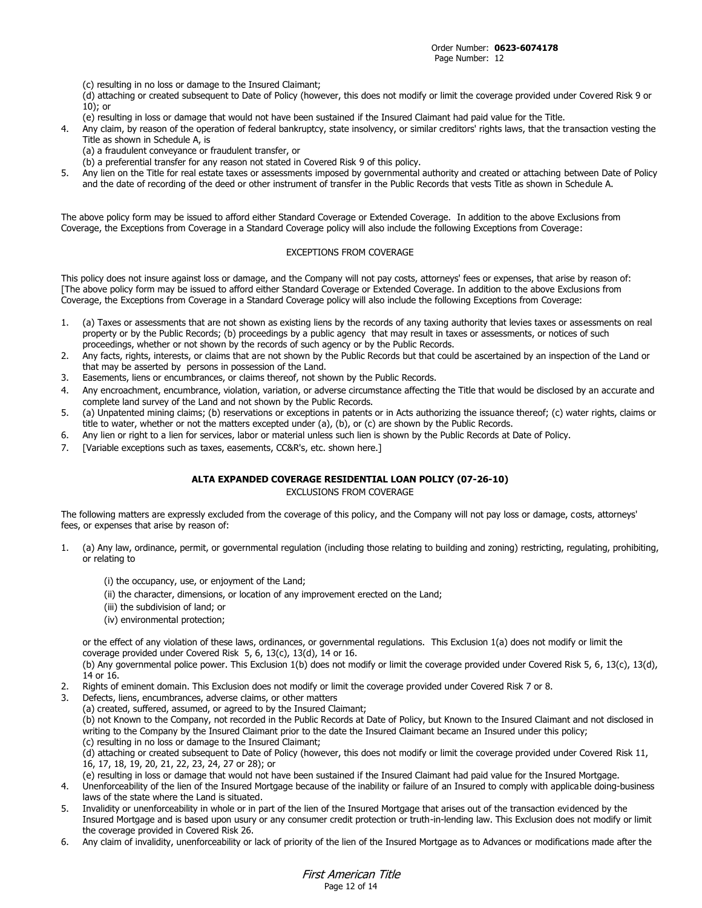(c) resulting in no loss or damage to the Insured Claimant;

(d) attaching or created subsequent to Date of Policy (however, this does not modify or limit the coverage provided under Covered Risk 9 or 10); or

- (e) resulting in loss or damage that would not have been sustained if the Insured Claimant had paid value for the Title.
- 4. Any claim, by reason of the operation of federal bankruptcy, state insolvency, or similar creditors' rights laws, that the transaction vesting the Title as shown in Schedule A, is
	- (a) a fraudulent conveyance or fraudulent transfer, or
	- (b) a preferential transfer for any reason not stated in Covered Risk 9 of this policy.
- 5. Any lien on the Title for real estate taxes or assessments imposed by governmental authority and created or attaching between Date of Policy and the date of recording of the deed or other instrument of transfer in the Public Records that vests Title as shown in Schedule A.

The above policy form may be issued to afford either Standard Coverage or Extended Coverage. In addition to the above Exclusions from Coverage, the Exceptions from Coverage in a Standard Coverage policy will also include the following Exceptions from Coverage:

### EXCEPTIONS FROM COVERAGE

This policy does not insure against loss or damage, and the Company will not pay costs, attorneys' fees or expenses, that arise by reason of: [The above policy form may be issued to afford either Standard Coverage or Extended Coverage. In addition to the above Exclusions from Coverage, the Exceptions from Coverage in a Standard Coverage policy will also include the following Exceptions from Coverage:

- 1. (a) Taxes or assessments that are not shown as existing liens by the records of any taxing authority that levies taxes or assessments on real property or by the Public Records; (b) proceedings by a public agency that may result in taxes or assessments, or notices of such proceedings, whether or not shown by the records of such agency or by the Public Records.
- 2. Any facts, rights, interests, or claims that are not shown by the Public Records but that could be ascertained by an inspection of the Land or that may be asserted by persons in possession of the Land.
- 3. Easements, liens or encumbrances, or claims thereof, not shown by the Public Records.
- 4. Any encroachment, encumbrance, violation, variation, or adverse circumstance affecting the Title that would be disclosed by an accurate and complete land survey of the Land and not shown by the Public Records.
- 5. (a) Unpatented mining claims; (b) reservations or exceptions in patents or in Acts authorizing the issuance thereof; (c) water rights, claims or title to water, whether or not the matters excepted under (a), (b), or (c) are shown by the Public Records.
- 6. Any lien or right to a lien for services, labor or material unless such lien is shown by the Public Records at Date of Policy.
- 7. [Variable exceptions such as taxes, easements, CC&R's, etc. shown here.]

### **ALTA EXPANDED COVERAGE RESIDENTIAL LOAN POLICY (07-26-10)**

EXCLUSIONS FROM COVERAGE

The following matters are expressly excluded from the coverage of this policy, and the Company will not pay loss or damage, costs, attorneys' fees, or expenses that arise by reason of:

- 1. (a) Any law, ordinance, permit, or governmental regulation (including those relating to building and zoning) restricting, regulating, prohibiting, or relating to
	- (i) the occupancy, use, or enjoyment of the Land;
	- (ii) the character, dimensions, or location of any improvement erected on the Land;
	- (iii) the subdivision of land; or
	- (iv) environmental protection;

or the effect of any violation of these laws, ordinances, or governmental regulations. This Exclusion 1(a) does not modify or limit the coverage provided under Covered Risk 5, 6, 13(c), 13(d), 14 or 16.

(b) Any governmental police power. This Exclusion 1(b) does not modify or limit the coverage provided under Covered Risk 5, 6, 13(c), 13(d), 14 or 16.

- 2. Rights of eminent domain. This Exclusion does not modify or limit the coverage provided under Covered Risk 7 or 8.
- 3. Defects, liens, encumbrances, adverse claims, or other matters
- (a) created, suffered, assumed, or agreed to by the Insured Claimant;

(b) not Known to the Company, not recorded in the Public Records at Date of Policy, but Known to the Insured Claimant and not disclosed in writing to the Company by the Insured Claimant prior to the date the Insured Claimant became an Insured under this policy; (c) resulting in no loss or damage to the Insured Claimant;

(d) attaching or created subsequent to Date of Policy (however, this does not modify or limit the coverage provided under Covered Risk 11, 16, 17, 18, 19, 20, 21, 22, 23, 24, 27 or 28); or

(e) resulting in loss or damage that would not have been sustained if the Insured Claimant had paid value for the Insured Mortgage.

- 4. Unenforceability of the lien of the Insured Mortgage because of the inability or failure of an Insured to comply with applicable doing-business laws of the state where the Land is situated.
- 5. Invalidity or unenforceability in whole or in part of the lien of the Insured Mortgage that arises out of the transaction evidenced by the Insured Mortgage and is based upon usury or any consumer credit protection or truth-in-lending law. This Exclusion does not modify or limit the coverage provided in Covered Risk 26.
- 6. Any claim of invalidity, unenforceability or lack of priority of the lien of the Insured Mortgage as to Advances or modifications made after the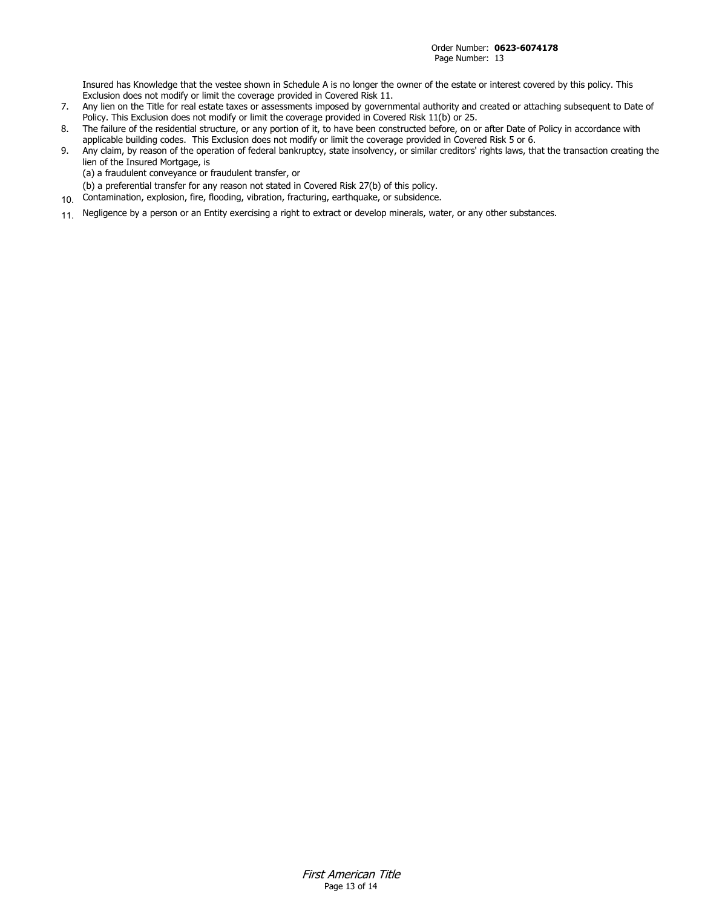Insured has Knowledge that the vestee shown in Schedule A is no longer the owner of the estate or interest covered by this policy. This Exclusion does not modify or limit the coverage provided in Covered Risk 11.

- 7. Any lien on the Title for real estate taxes or assessments imposed by governmental authority and created or attaching subsequent to Date of Policy. This Exclusion does not modify or limit the coverage provided in Covered Risk 11(b) or 25.
- 8. The failure of the residential structure, or any portion of it, to have been constructed before, on or after Date of Policy in accordance with applicable building codes. This Exclusion does not modify or limit the coverage provided in Covered Risk 5 or 6.
- 9. Any claim, by reason of the operation of federal bankruptcy, state insolvency, or similar creditors' rights laws, that the transaction creating the lien of the Insured Mortgage, is
	- (a) a fraudulent conveyance or fraudulent transfer, or
- (b) a preferential transfer for any reason not stated in Covered Risk 27(b) of this policy.
- 10. Contamination, explosion, fire, flooding, vibration, fracturing, earthquake, or subsidence.
- 11. Negligence by a person or an Entity exercising a right to extract or develop minerals, water, or any other substances.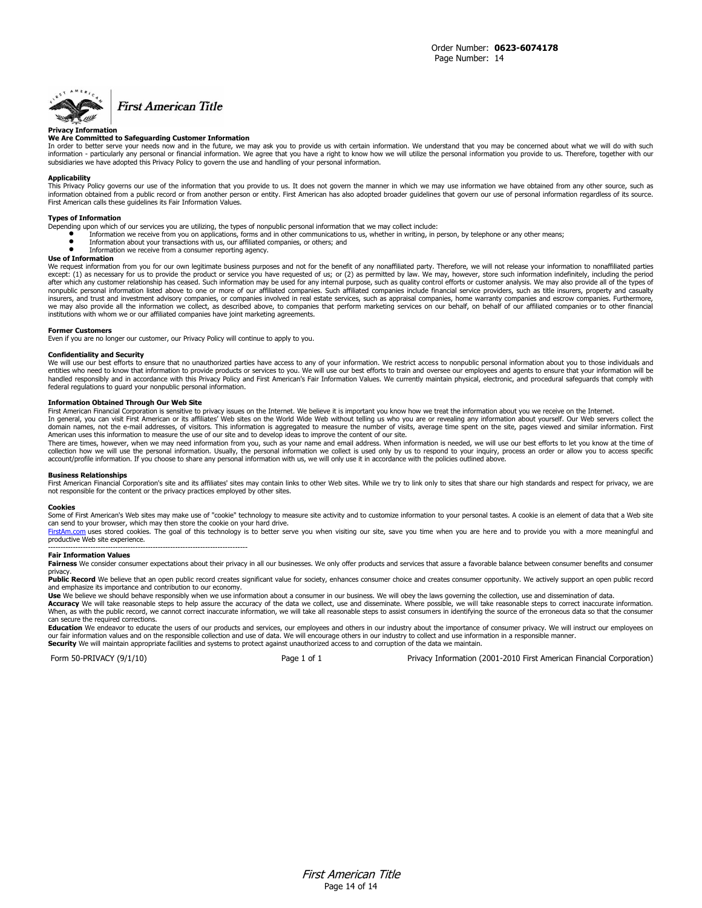

# **First American Title**

#### **Privacy Information**

#### **We Are Committed to Safeguarding Customer Information**

In order to better serve your needs now and in the future, we may ask you to provide us with certain information. We understand that you may be concerned about what we will do with such<br>information - particularly any perso subsidiaries we have adopted this Privacy Policy to govern the use and handling of your personal information.

#### **Applicability**

This Privacy Policy governs our use of the information that you provide to us. It does not govern the manner in which we may use information we have obtained from any other source, such as<br>information obtained from a publi First American calls these guidelines its Fair Information Values.

#### **Types of Information**

- Depending upon which of our services you are utilizing, the types of nonpublic personal information that we may collect include:
	- Information we receive from you on applications, forms and in other communications to us, whether in writing, in person, by telephone or any other means;<br>■ Information about your transactions with us, our affiliated com
	- Information we receive from a consumer reporting agency.

#### **Use of Information**

We request information from you for our own legitimate business purposes and not for the benefit of any nonaffiliated party. Therefore, we will not release your information to nonaffiliated parties except: (1) as necessary for us to provide the product or service you have requested of us; or (2) as permitted by law. We may, however, store such information indefinitely, including the period after which any customer relationship has ceased. Such information may be used for any internal purpose, such as quality control efforts or customer analysis. We may also provide all of the types of<br>nonpublic personal info insurers, and trust and investment advisory companies, or companies involved in real estate services, such as appraisal companies, home warranty companies and escrow companies. Furthermore, we may also provide all the information we collect, as described above, to companies that perform marketing services on our behalf, on behalf of our affiliated companies or to other financial institutions with whom we or our affiliated companies have joint marketing agreements.

#### **Former Customers**

Even if you are no longer our customer, our Privacy Policy will continue to apply to you.

#### **Confidentiality and Security**

We will use our best efforts to ensure that no unauthorized parties have access to any of your information. We restrict access to nonpublic personal information about you to those individuals and entities who need to know that information to provide products or services to you. We will use our best efforts to train and oversee our employees and agents to ensure that your information will be handled responsibly and in accordance with this Privacy Policy and First American's Fair Information Values. We currently maintain physical, electronic, and procedural safeguards that comply with handled responsibly and in federal regulations to guard your nonpublic personal information.

#### **Information Obtained Through Our Web Site**

First American Financial Corporation is sensitive to privacy issues on the Internet. We believe it is important you know how we treat the information about you we receive on the Internet.<br>In general, you can visit First Am

American uses this information to measure the use of our site and to develop ideas to improve the content of our site.<br>There are times, however, when we may need information from you, such as your name and email address. W account/profile information. If you choose to share any personal information with us, we will only use it in accordance with the policies outlined above.

#### **Business Relationships**

First American Financial Corporation's site and its affiliates' sites may contain links to other Web sites. While we try to link only to sites that share our high standards and respect for privacy, we are not responsible for the content or the privacy practices employed by other sites.

#### **Cookies**

Some of First American's Web sites may make use of "cookie" technology to measure site activity and to customize information to your personal tastes. A cookie is an element of data that a Web site can send to your browser, which may then store the cookie on your hard drive.

[FirstAm.com](http://www.firstam.com/) uses stored cookies. The goal of this technology is to better serve you when visiting our site, save you time when you are here and to provide you with a more meaningful and productive Web site experience. --------------------------------------------------------------------------------

#### **Fair Information Values**

Fairness We consider consumer expectations about their privacy in all our businesses. We only offer products and services that assure a favorable balance between consumer benefits and consumer

privacy.<br>**Public Record** We believe that an open public record creates significant value for society, enhances consumer choice and creates consumer opportunity. We actively support an open public record<br>and emphasize its i

**Use** We believe we should behave responsibly when we use information about a consumer in our business. We will obey the laws governing the collection, use and dissemination of data.<br>Accuracy We will take reasonable steps can secure the required corrections.

**Education** We endeavor to educate the users of our products and services, our employees and others in our industry about the importance of consumer privacy. We will instruct our employees on<br>our fair information values an **Security** We will maintain appropriate facilities and systems to protect against unauthorized access to and corruption of the data we maintain.

Form 50-PRIVACY (9/1/10) Page 1 of 1 Privacy Information (2001-2010 First American Financial Corporation)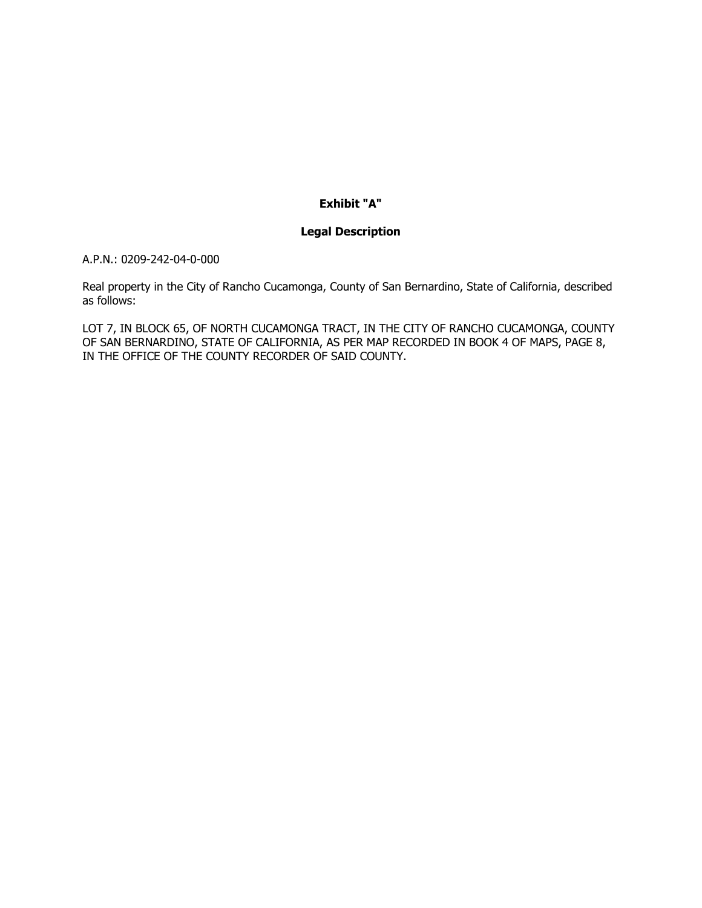# **Exhibit "A"**

# **Legal Description**

A.P.N.: 0209-242-04-0-000

Real property in the City of Rancho Cucamonga, County of San Bernardino, State of California, described as follows:

LOT 7, IN BLOCK 65, OF NORTH CUCAMONGA TRACT, IN THE CITY OF RANCHO CUCAMONGA, COUNTY OF SAN BERNARDINO, STATE OF CALIFORNIA, AS PER MAP RECORDED IN BOOK 4 OF MAPS, PAGE 8, IN THE OFFICE OF THE COUNTY RECORDER OF SAID COUNTY.